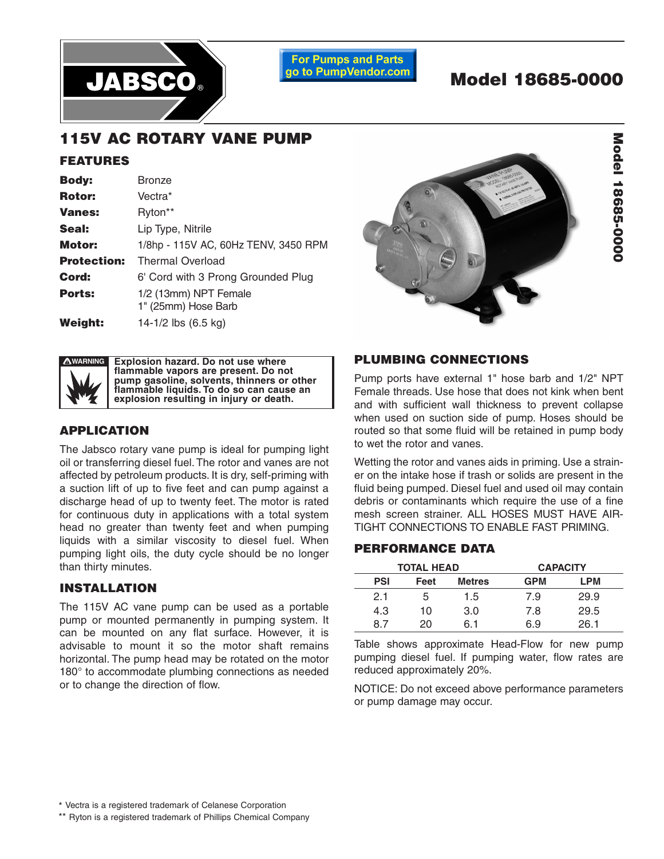

**For Pumps and Parts** go to PumpVendor.com

# **Model 18685-0000**

## **115V AC ROTARY VANE PUMP**

#### **FEATURES**

| <b>Body:</b>       | <b>Bronze</b>                                |  |  |
|--------------------|----------------------------------------------|--|--|
| <b>Rotor:</b>      | Vectra*                                      |  |  |
| <b>Vanes:</b>      | Ryton**                                      |  |  |
| Seal:              | Lip Type, Nitrile                            |  |  |
| Motor:             | 1/8hp - 115V AC, 60Hz TENV, 3450 RPM         |  |  |
| <b>Protection:</b> | <b>Thermal Overload</b>                      |  |  |
| Cord:              | 6' Cord with 3 Prong Grounded Plug           |  |  |
| <b>Ports:</b>      | 1/2 (13mm) NPT Female<br>1" (25mm) Hose Barb |  |  |
| <b>Weight:</b>     | 14-1/2 lbs $(6.5 \text{ kg})$                |  |  |





**Explosion hazard. Do not use where** flammable vapors are present. Do not **personal injury, death or property damage can pump gasoline, solvents, thinners or other occur. Case openings must be sealed to avoid flammable liquids. To do so can cause an explosion and maintain ignition protected rating. explosion resulting in injury or death.**

#### **APPLICATION**

The Jabsco rotary vane pump is ideal for pumping light oil or transferring diesel fuel. The rotor and vanes are not affected by petroleum products. It is dry, self-priming with a suction lift of up to five feet and can pump against a discharge head of up to twenty feet. The motor is rated for continuous duty in applications with a total system head no greater than twenty feet and when pumping liquids with a similar viscosity to diesel fuel. When pumping light oils, the duty cycle should be no longer than thirty minutes.

#### **INSTALLATION**

The 115V AC vane pump can be used as a portable pump or mounted permanently in pumping system. It can be mounted on any flat surface. However, it is advisable to mount it so the motor shaft remains horizontal. The pump head may be rotated on the motor 180° to accommodate plumbing connections as needed or to change the direction of flow.

#### **PLUMBING CONNECTIONS**

Pump ports have external 1" hose barb and 1/2" NPT Female threads. Use hose that does not kink when bent and with sufficient wall thickness to prevent collapse when used on suction side of pump. Hoses should be routed so that some fluid will be retained in pump body to wet the rotor and vanes.

Wetting the rotor and vanes aids in priming. Use a strainer on the intake hose if trash or solids are present in the fluid being pumped. Diesel fuel and used oil may contain debris or contaminants which require the use of a fine mesh screen strainer. ALL HOSES MUST HAVE AIR-TIGHT CONNECTIONS TO ENABLE FAST PRIMING.

#### **PERFORMANCE DATA**

| <b>TOTAL HEAD</b> |      |               | <b>CAPACITY</b> |      |
|-------------------|------|---------------|-----------------|------|
| <b>PSI</b>        | Feet | <b>Metres</b> | <b>GPM</b>      | LPM  |
| 2.1               | 5    | 1.5           | 7.9             | 29.9 |
| 4.3               | 10   | 3.0           | 7.8             | 29.5 |
| 8.                | 20.  | հ 1           | 6.9             | 26 1 |

Table shows approximate Head-Flow for new pump pumping diesel fuel. If pumping water, flow rates are reduced approximately 20%.

NOTICE: Do not exceed above performance parameters or pump damage may occur.

\*\* Ryton is a registered trademark of Phillips Chemical Company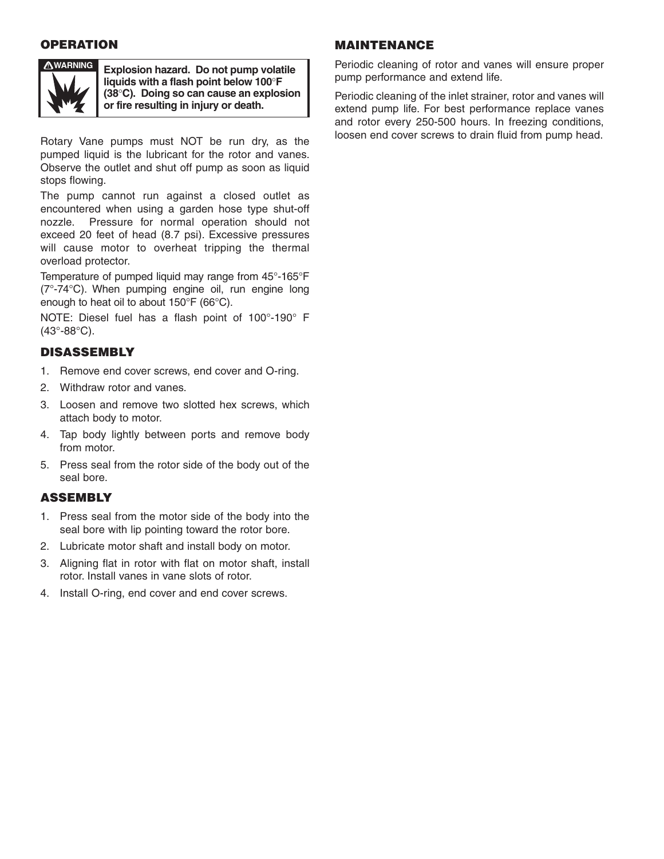#### **OPERATION**



**WARNING Explosion hazard. Do not pump volatile liquids with a flash point below 100**°**F (38**°**C). Doing so can cause an explosion or fire resulting in injury or death.**

Rotary Vane pumps must NOT be run dry, as the pumped liquid is the lubricant for the rotor and vanes. Observe the outlet and shut off pump as soon as liquid stops flowing.

The pump cannot run against a closed outlet as encountered when using a garden hose type shut-off nozzle. Pressure for normal operation should not exceed 20 feet of head (8.7 psi). Excessive pressures will cause motor to overheat tripping the thermal overload protector.

Temperature of pumped liquid may range from 45°-165°F (7°-74°C). When pumping engine oil, run engine long enough to heat oil to about 150°F (66°C).

NOTE: Diesel fuel has a flash point of 100°-190° F (43°-88°C).

### **DISASSEMBLY**

- 1. Remove end cover screws, end cover and O-ring.
- 2. Withdraw rotor and vanes.
- 3. Loosen and remove two slotted hex screws, which attach body to motor.
- 4. Tap body lightly between ports and remove body from motor.
- 5. Press seal from the rotor side of the body out of the seal bore.

#### **ASSEMBLY**

- 1. Press seal from the motor side of the body into the seal bore with lip pointing toward the rotor bore.
- 2. Lubricate motor shaft and install body on motor.
- 3. Aligning flat in rotor with flat on motor shaft, install rotor. Install vanes in vane slots of rotor.
- 4. Install O-ring, end cover and end cover screws.

#### **MAINTENANCE**

Periodic cleaning of rotor and vanes will ensure proper pump performance and extend life.

Periodic cleaning of the inlet strainer, rotor and vanes will extend pump life. For best performance replace vanes and rotor every 250-500 hours. In freezing conditions, loosen end cover screws to drain fluid from pump head.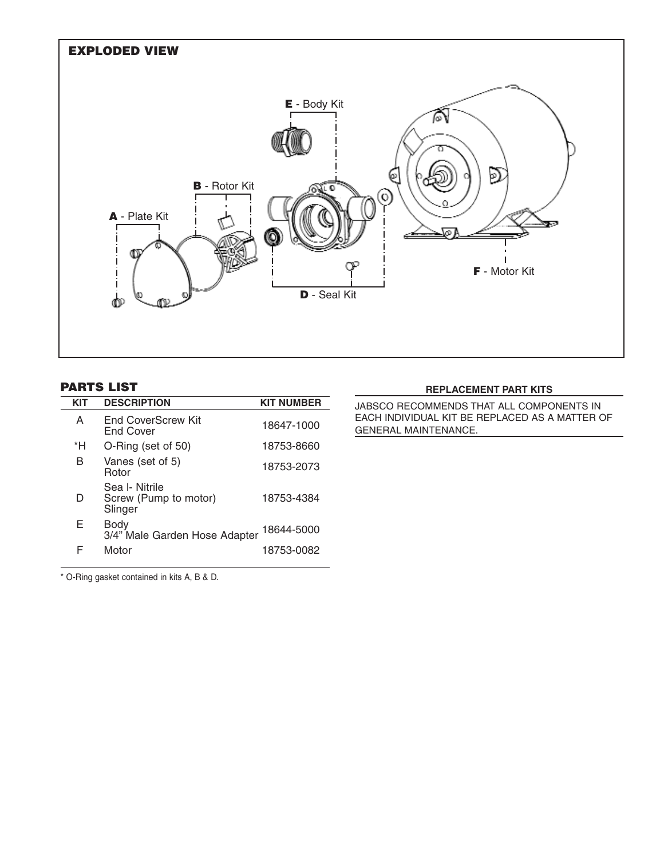

#### **PARTS LIST**

| KIT | <b>DESCRIPTION</b>                                 | <b>KIT NUMBER</b> |
|-----|----------------------------------------------------|-------------------|
| А   | End CoverScrew Kit<br>End Cover                    | 18647-1000        |
| *H  | O-Ring (set of 50)                                 | 18753-8660        |
| в   | Vanes (set of 5)<br>Rotor                          | 18753-2073        |
| D   | Sea I- Nitrile<br>Screw (Pump to motor)<br>Slinger | 18753-4384        |
| F   | Body<br>3/4" Male Garden Hose Adapter              | 18644-5000        |
| F   | Motor                                              | 18753-0082        |

#### **REPLACEMENT PART KITS**

JABSCO RECOMMENDS THAT ALL COMPONENTS IN EACH INDIVIDUAL KIT BE REPLACED AS A MATTER OF GENERAL MAINTENANCE.

\* O-Ring gasket contained in kits A, B & D.